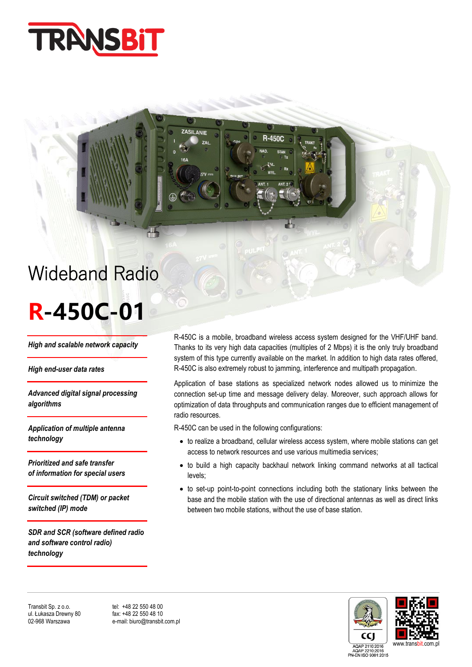

## Wideband Radio

# **R-450C-01**

*High and scalable network capacity*

*High end-user data rates*

*Advanced digital signal processing algorithms* 

*Application of multiple antenna technology* 

*Prioritized and safe transfer of information for special users* 

*Circuit switched (TDM) or packet switched (IP) mode* 

*SDR and SCR (software defined radio and software control radio) technology*

R-450C is a mobile, broadband wireless access system designed for the VHF/UHF band. Thanks to its very high data capacities (multiples of 2 Mbps) it is the only truly broadband system of this type currently available on the market. In addition to high data rates offered, R-450C is also extremely robust to jamming, interference and multipath propagation.

**R-4500** 

Application of base stations as specialized network nodes allowed us to minimize the connection set-up time and message delivery delay. Moreover, such approach allows for optimization of data throughputs and communication ranges due to efficient management of radio resources.

R-450C can be used in the following configurations:

ZASILANIF

 $Z\triangle$ 

- to realize a broadband, cellular wireless access system, where mobile stations can get access to network resources and use various multimedia services;
- to build a high capacity backhaul network linking command networks at all tactical levels;
- to set-up point-to-point connections including both the stationary links between the base and the mobile station with the use of directional antennas as well as direct links between two mobile stations, without the use of base station.

Transbit Sp. z o.o. tel: +48 22 550 48 00<br>
ul. Łukasza Drewny 80 fax: +48 22 550 48 10 ul. Łukasza Drewny 80

02-968 Warszawa e-mail: biuro@transbit.com.pl